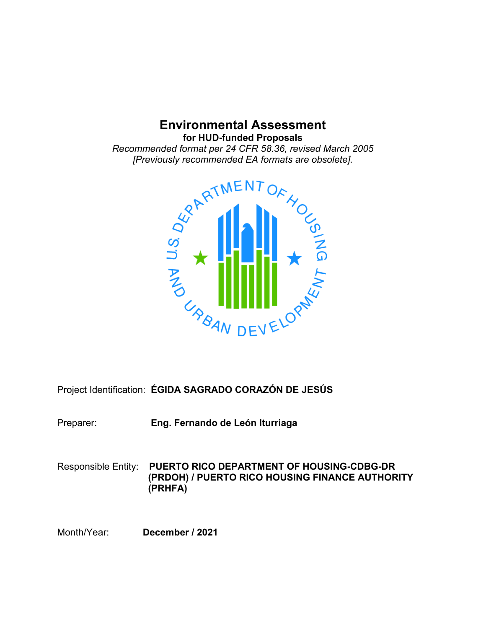# **Environmental Assessment**

**for HUD-funded Proposals**

*[Previously recommended EA formats are obsolete].*



Project Identification: **ÉGIDA SAGRADO CORAZÓN DE JESÚS**

Preparer: **Eng. Fernando de León Iturriaga**

Responsible Entity: **PUERTO RICO DEPARTMENT OF HOUSING-CDBG-DR (PRDOH) / PUERTO RICO HOUSING FINANCE AUTHORITY (PRHFA)**

Month/Year: **December / 2021**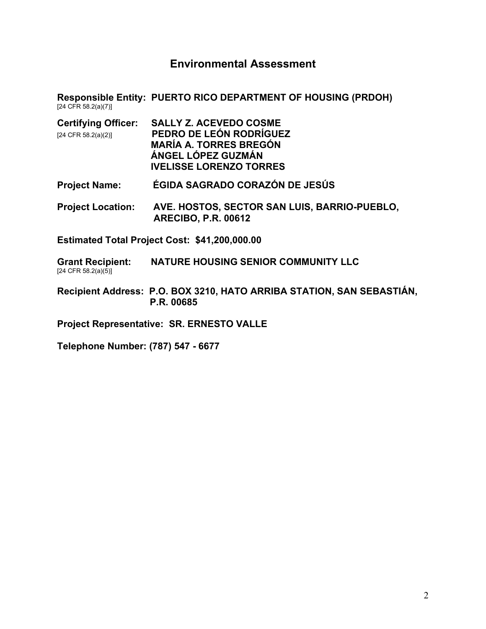# **Environmental Assessment**

**Responsible Entity: PUERTO RICO DEPARTMENT OF HOUSING (PRDOH)** [24 CFR 58.2(a)(7)]

| <b>Certifying Officer:</b> | <b>SALLY Z. ACEVEDO COSME</b>  |
|----------------------------|--------------------------------|
| $[24$ CFR 58.2(a)(2)]      | PEDRO DE LEÓN RODRÍGUEZ        |
|                            | <b>MARÍA A. TORRES BREGÓN</b>  |
|                            | ÁNGEL LÓPEZ GUZMÁN             |
|                            | <b>IVELISSE LORENZO TORRES</b> |
|                            |                                |

- **Project Name: ÉGIDA SAGRADO CORAZÓN DE JESÚS**
- **Project Location: AVE. HOSTOS, SECTOR SAN LUIS, BARRIO-PUEBLO, ARECIBO, P.R. 00612**

**Estimated Total Project Cost: \$41,200,000.00**

**Grant Recipient: NATURE HOUSING SENIOR COMMUNITY LLC**  $[24 \text{ CFR } 58.2(a)(5)]$ 

**Recipient Address: P.O. BOX 3210, HATO ARRIBA STATION, SAN SEBASTIÁN, \_\_\_\_\_\_\_\_\_\_\_\_\_\_\_\_\_ P.R. 00685**

**Project Representative: SR. ERNESTO VALLE**

**Telephone Number: (787) 547 - 6677**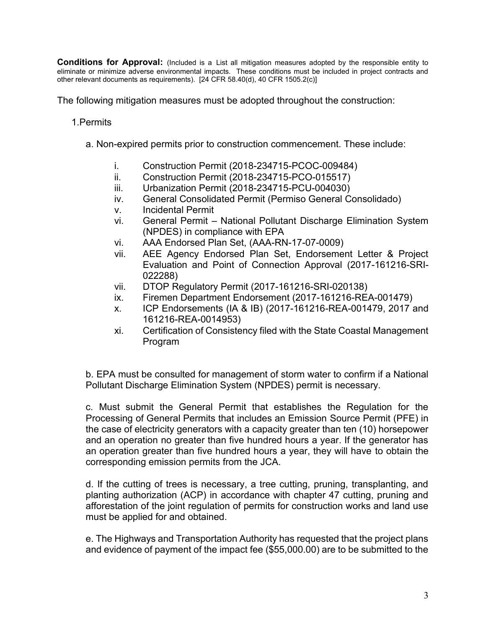**Conditions for Approval:** (Included is a List all mitigation measures adopted by the responsible entity to eliminate or minimize adverse environmental impacts. These conditions must be included in project contracts and other relevant documents as requirements). [24 CFR 58.40(d), 40 CFR 1505.2(c)]

The following mitigation measures must be adopted throughout the construction:

## 1.Permits

- a. Non-expired permits prior to construction commencement. These include:
	- i. Construction Permit (2018-234715-PCOC-009484)
	- ii. Construction Permit (2018-234715-PCO-015517)
	- iii. Urbanization Permit (2018-234715-PCU-004030)
	- iv. General Consolidated Permit (Permiso General Consolidado)
	- v. Incidental Permit
	- vi. General Permit National Pollutant Discharge Elimination System (NPDES) in compliance with EPA
	- vi. AAA Endorsed Plan Set, (AAA-RN-17-07-0009)
	- vii. AEE Agency Endorsed Plan Set, Endorsement Letter & Project Evaluation and Point of Connection Approval (2017-161216-SRI-022288)
	- vii. DTOP Regulatory Permit (2017-161216-SRI-020138)
	- ix. Firemen Department Endorsement (2017-161216-REA-001479)
	- x. ICP Endorsements (IA & IB) (2017-161216-REA-001479, 2017 and 161216-REA-0014953)
	- xi. Certification of Consistency filed with the State Coastal Management Program

b. EPA must be consulted for management of storm water to confirm if a National Pollutant Discharge Elimination System (NPDES) permit is necessary.

c. Must submit the General Permit that establishes the Regulation for the Processing of General Permits that includes an Emission Source Permit (PFE) in the case of electricity generators with a capacity greater than ten (10) horsepower and an operation no greater than five hundred hours a year. If the generator has an operation greater than five hundred hours a year, they will have to obtain the corresponding emission permits from the JCA.

d. If the cutting of trees is necessary, a tree cutting, pruning, transplanting, and planting authorization (ACP) in accordance with chapter 47 cutting, pruning and afforestation of the joint regulation of permits for construction works and land use must be applied for and obtained.

e. The Highways and Transportation Authority has requested that the project plans and evidence of payment of the impact fee (\$55,000.00) are to be submitted to the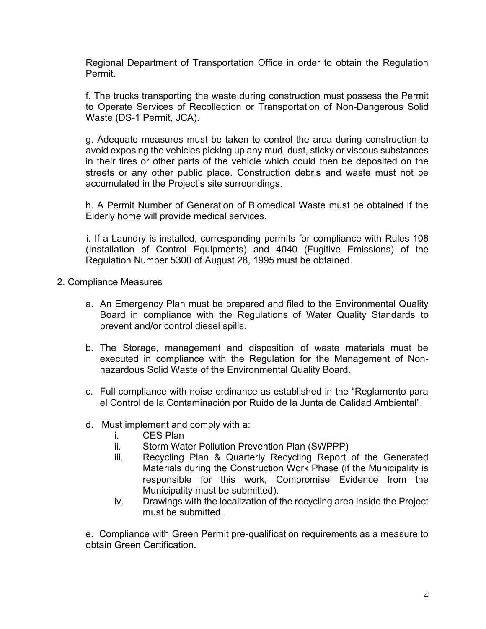Regional Department of Transportation Office in order to obtain the Regulation Permit.

f. The trucks transporting the waste during construction must possess the Permit to Operate Services of Recollection or Transportation of Non-Dangerous Solid Waste (DS-1 Permit, JCA).

g. Adequate measures must be taken to control the area during construction to avoid exposing the vehicles picking up any mud, dust, sticky or viscous substances in their tires or other parts of the vehicle which could then be deposited on the streets or any other public place. Construction debris and waste must not be accumulated in the Project's site surroundings.

h. A Permit Number of Generation of Biomedical Waste must be obtained if the Elderly home will provide medical services.

i. If a Laundry is installed, corresponding permits for compliance with Rules 108 (Installation of Control Equipments) and 4040 (Fugitive Emissions) of the Regulation Number 5300 of August 28, 1995 must be obtained.

- 2. Compliance Measures
	- a. An Emergency Plan must be prepared and filed to the Environmental Quality Board in compliance with the Regulations of Water Quality Standards to prevent and/or control diesel spills.
	- b. The Storage, management and disposition of waste materials must be executed in compliance with the Regulation for the Management of Nonhazardous Solid Waste of the Environmental Quality Board.
	- c. Full compliance with noise ordinance as established in the "Reglamento para el Control de la Contaminación por Ruido de la Junta de Calidad Ambiental".
	- d. Must implement and comply with a:
		- i. CES Plan
		- ii. Storm Water Pollution Prevention Plan (SWPPP)
		- iii. Recycling Plan & Quarterly Recycling Report of the Generated Materials during the Construction Work Phase (if the Municipality is responsible for this work, Compromise Evidence from the Municipality must be submitted).
		- iv. Drawings with the localization of the recycling area inside the Project must be submitted.

e. Compliance with Green Permit pre-qualification requirements as a measure to obtain Green Certification.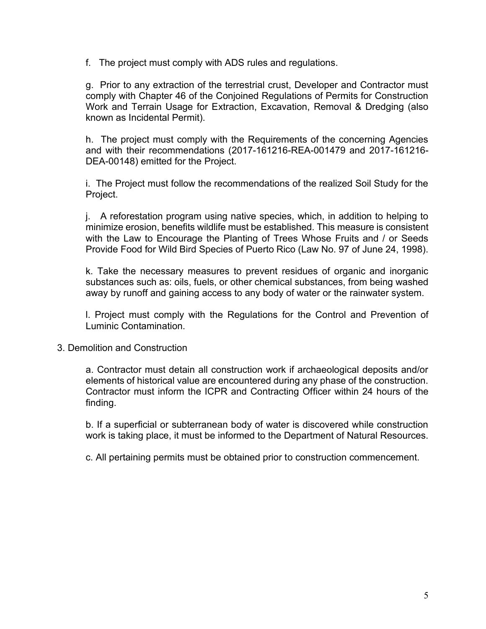f. The project must comply with ADS rules and regulations.

g. Prior to any extraction of the terrestrial crust, Developer and Contractor must comply with Chapter 46 of the Conjoined Regulations of Permits for Construction Work and Terrain Usage for Extraction, Excavation, Removal & Dredging (also known as Incidental Permit).

h. The project must comply with the Requirements of the concerning Agencies and with their recommendations (2017-161216-REA-001479 and 2017-161216- DEA-00148) emitted for the Project.

i. The Project must follow the recommendations of the realized Soil Study for the Project.

j. A reforestation program using native species, which, in addition to helping to minimize erosion, benefits wildlife must be established. This measure is consistent with the Law to Encourage the Planting of Trees Whose Fruits and / or Seeds Provide Food for Wild Bird Species of Puerto Rico (Law No. 97 of June 24, 1998).

k. Take the necessary measures to prevent residues of organic and inorganic substances such as: oils, fuels, or other chemical substances, from being washed away by runoff and gaining access to any body of water or the rainwater system.

l. Project must comply with the Regulations for the Control and Prevention of Luminic Contamination.

3. Demolition and Construction

a. Contractor must detain all construction work if archaeological deposits and/or elements of historical value are encountered during any phase of the construction. Contractor must inform the ICPR and Contracting Officer within 24 hours of the finding.

b. If a superficial or subterranean body of water is discovered while construction work is taking place, it must be informed to the Department of Natural Resources.

c. All pertaining permits must be obtained prior to construction commencement.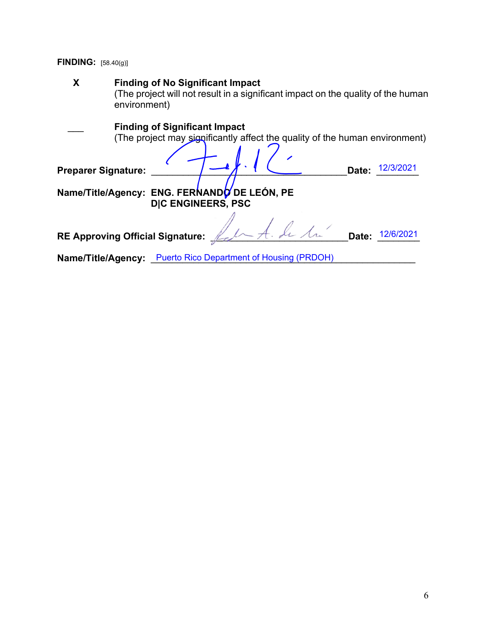**FINDING:** [58.40(g)]

| X | <b>Finding of No Significant Impact</b><br>(The project will not result in a significant impact on the quality of the human<br>environment) |
|---|---------------------------------------------------------------------------------------------------------------------------------------------|
|   | <b>Finding of Significant Impact</b><br>(The project may significantly affect the quality of the human environment)                         |
|   | 12/3/2021<br>Date:<br><b>Preparer Signature:</b><br>Name/Title/Agency: ENG. FERNANDO DE LEÓN, PE                                            |
|   | <b>DIC ENGINEERS, PSC</b>                                                                                                                   |
|   | In A. de la<br>Date:<br>12/6/2021<br><b>RE Approving Official Signature:</b>                                                                |
|   | <b>Puerto Rico Department of Housing (PRDOH)</b><br>Name/Title/Agency:                                                                      |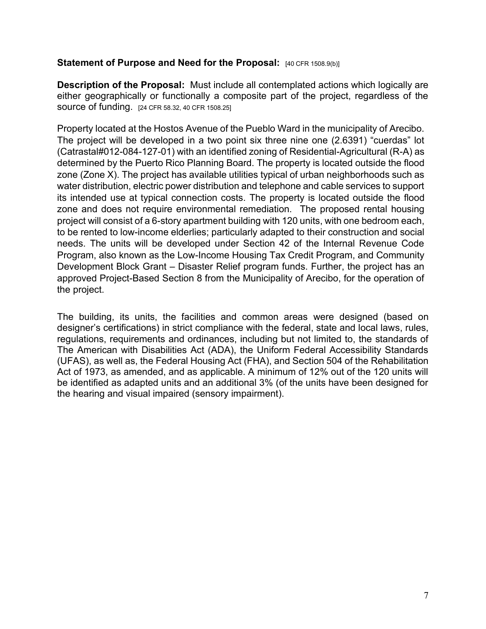## **Statement of Purpose and Need for the Proposal: [40 CFR 1508.9(b)]**

**Description of the Proposal:** Must include all contemplated actions which logically are either geographically or functionally a composite part of the project, regardless of the source of funding. [24 CFR 58.32, 40 CFR 1508.25]

Property located at the Hostos Avenue of the Pueblo Ward in the municipality of Arecibo. The project will be developed in a two point six three nine one (2.6391) "cuerdas" lot (Catrastal#012-084-127-01) with an identified zoning of Residential-Agricultural (R-A) as determined by the Puerto Rico Planning Board. The property is located outside the flood zone (Zone X). The project has available utilities typical of urban neighborhoods such as water distribution, electric power distribution and telephone and cable services to support its intended use at typical connection costs. The property is located outside the flood zone and does not require environmental remediation. The proposed rental housing project will consist of a 6-story apartment building with 120 units, with one bedroom each, to be rented to low-income elderlies; particularly adapted to their construction and social needs. The units will be developed under Section 42 of the Internal Revenue Code Program, also known as the Low-Income Housing Tax Credit Program, and Community Development Block Grant – Disaster Relief program funds. Further, the project has an approved Project-Based Section 8 from the Municipality of Arecibo, for the operation of the project.

The building, its units, the facilities and common areas were designed (based on designer's certifications) in strict compliance with the federal, state and local laws, rules, regulations, requirements and ordinances, including but not limited to, the standards of The American with Disabilities Act (ADA), the Uniform Federal Accessibility Standards (UFAS), as well as, the Federal Housing Act (FHA), and Section 504 of the Rehabilitation Act of 1973, as amended, and as applicable. A minimum of 12% out of the 120 units will be identified as adapted units and an additional 3% (of the units have been designed for the hearing and visual impaired (sensory impairment).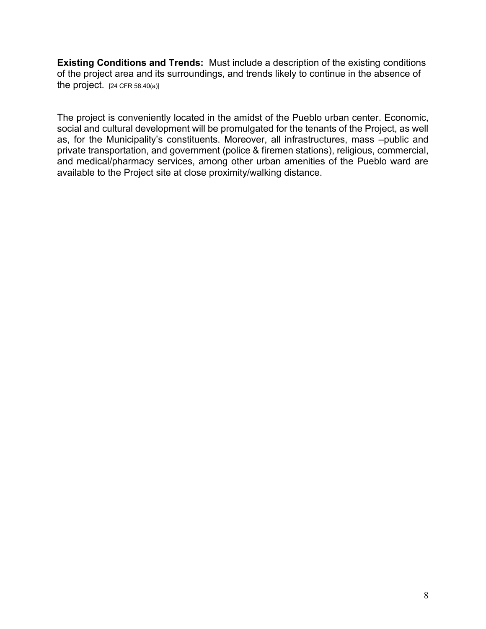**Existing Conditions and Trends:** Must include a description of the existing conditions of the project area and its surroundings, and trends likely to continue in the absence of the project.  $[24 \text{ CFR } 58.40(a)]$ 

The project is conveniently located in the amidst of the Pueblo urban center. Economic, social and cultural development will be promulgated for the tenants of the Project, as well as, for the Municipality's constituents. Moreover, all infrastructures, mass –public and private transportation, and government (police & firemen stations), religious, commercial, and medical/pharmacy services, among other urban amenities of the Pueblo ward are available to the Project site at close proximity/walking distance.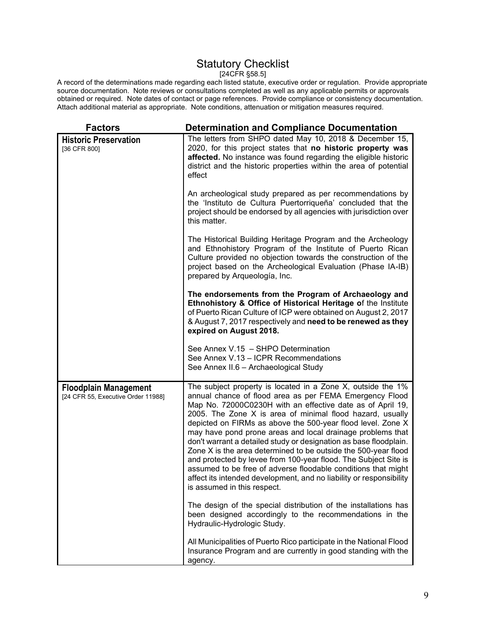# Statutory Checklist

[24CFR §58.5]

A record of the determinations made regarding each listed statute, executive order or regulation. Provide appropriate source documentation. Note reviews or consultations completed as well as any applicable permits or approvals obtained or required. Note dates of contact or page references. Provide compliance or consistency documentation. Attach additional material as appropriate. Note conditions, attenuation or mitigation measures required.

| <b>Factors</b>                                                     | <b>Determination and Compliance Documentation</b>                                                                                                                                                                                                                                                                                                                                                                                                                                                                                                                                                                                                                                                                                                               |
|--------------------------------------------------------------------|-----------------------------------------------------------------------------------------------------------------------------------------------------------------------------------------------------------------------------------------------------------------------------------------------------------------------------------------------------------------------------------------------------------------------------------------------------------------------------------------------------------------------------------------------------------------------------------------------------------------------------------------------------------------------------------------------------------------------------------------------------------------|
| <b>Historic Preservation</b><br>[36 CFR 800]                       | The letters from SHPO dated May 10, 2018 & December 15,<br>2020, for this project states that no historic property was<br>affected. No instance was found regarding the eligible historic<br>district and the historic properties within the area of potential<br>effect                                                                                                                                                                                                                                                                                                                                                                                                                                                                                        |
|                                                                    | An archeological study prepared as per recommendations by<br>the 'Instituto de Cultura Puertorriqueña' concluded that the<br>project should be endorsed by all agencies with jurisdiction over<br>this matter.                                                                                                                                                                                                                                                                                                                                                                                                                                                                                                                                                  |
|                                                                    | The Historical Building Heritage Program and the Archeology<br>and Ethnohistory Program of the Institute of Puerto Rican<br>Culture provided no objection towards the construction of the<br>project based on the Archeological Evaluation (Phase IA-IB)<br>prepared by Arqueología, Inc.                                                                                                                                                                                                                                                                                                                                                                                                                                                                       |
|                                                                    | The endorsements from the Program of Archaeology and<br>Ethnohistory & Office of Historical Heritage of the Institute<br>of Puerto Rican Culture of ICP were obtained on August 2, 2017<br>& August 7, 2017 respectively and need to be renewed as they<br>expired on August 2018.                                                                                                                                                                                                                                                                                                                                                                                                                                                                              |
|                                                                    | See Annex V.15 - SHPO Determination<br>See Annex V.13 - ICPR Recommendations<br>See Annex II.6 - Archaeological Study                                                                                                                                                                                                                                                                                                                                                                                                                                                                                                                                                                                                                                           |
| <b>Floodplain Management</b><br>[24 CFR 55, Executive Order 11988] | The subject property is located in a Zone X, outside the 1%<br>annual chance of flood area as per FEMA Emergency Flood<br>Map No. 72000C0230H with an effective date as of April 19,<br>2005. The Zone X is area of minimal flood hazard, usually<br>depicted on FIRMs as above the 500-year flood level. Zone X<br>may have pond prone areas and local drainage problems that<br>don't warrant a detailed study or designation as base floodplain.<br>Zone X is the area determined to be outside the 500-year flood<br>and protected by levee from 100-year flood. The Subject Site is<br>assumed to be free of adverse floodable conditions that might<br>affect its intended development, and no liability or responsibility<br>is assumed in this respect. |
|                                                                    | The design of the special distribution of the installations has<br>been designed accordingly to the recommendations in the<br>Hydraulic-Hydrologic Study.                                                                                                                                                                                                                                                                                                                                                                                                                                                                                                                                                                                                       |
|                                                                    | All Municipalities of Puerto Rico participate in the National Flood<br>Insurance Program and are currently in good standing with the<br>agency.                                                                                                                                                                                                                                                                                                                                                                                                                                                                                                                                                                                                                 |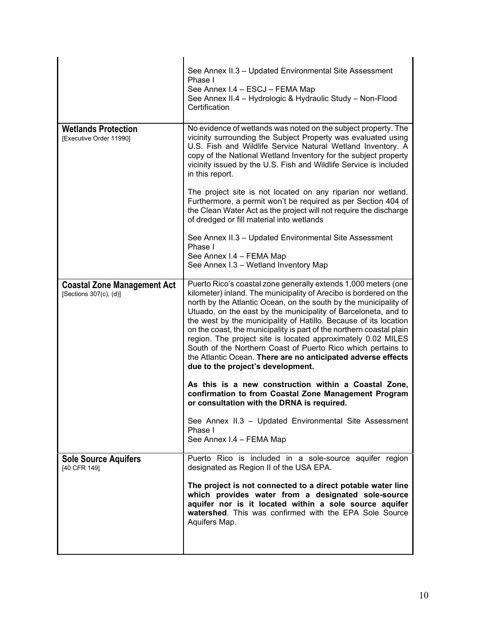|                                                              | See Annex II.3 - Updated Environmental Site Assessment<br>Phase I<br>See Annex I.4 - ESCJ - FEMA Map<br>See Annex II.4 - Hydrologic & Hydraulic Study - Non-Flood<br>Certification                                                                                                                                                                                                                                                                                                                                                                                                                                                                         |
|--------------------------------------------------------------|------------------------------------------------------------------------------------------------------------------------------------------------------------------------------------------------------------------------------------------------------------------------------------------------------------------------------------------------------------------------------------------------------------------------------------------------------------------------------------------------------------------------------------------------------------------------------------------------------------------------------------------------------------|
| <b>Wetlands Protection</b><br>[Executive Order 11990]        | No evidence of wetlands was noted on the subject property. The<br>vicinity surrounding the Subject Property was evaluated using<br>U.S. Fish and Wildlife Service Natural Wetland Inventory. A<br>copy of the National Wetland Inventory for the subject property<br>vicinity issued by the U.S. Fish and Wildlife Service is included<br>in this report.                                                                                                                                                                                                                                                                                                  |
|                                                              | The project site is not located on any riparian nor wetland.<br>Furthermore, a permit won't be required as per Section 404 of<br>the Clean Water Act as the project will not require the discharge<br>of dredged or fill material into wetlands                                                                                                                                                                                                                                                                                                                                                                                                            |
|                                                              | See Annex II.3 - Updated Environmental Site Assessment<br>Phase I<br>See Annex I.4 - FEMA Map<br>See Annex I.3 - Wetland Inventory Map                                                                                                                                                                                                                                                                                                                                                                                                                                                                                                                     |
| <b>Coastal Zone Management Act</b><br>[Sections 307(c), (d)] | Puerto Rico's coastal zone generally extends 1,000 meters (one<br>kilometer) inland. The municipality of Arecibo is bordered on the<br>north by the Atlantic Ocean, on the south by the municipality of<br>Utuado, on the east by the municipality of Barceloneta, and to<br>the west by the municipality of Hatillo. Because of its location<br>on the coast, the municipality is part of the northern coastal plain<br>region. The project site is located approximately 0.02 MILES<br>South of the Northern Coast of Puerto Rico which pertains to<br>the Atlantic Ocean. There are no anticipated adverse effects<br>due to the project's development. |
|                                                              | As this is a new construction within a Coastal Zone,<br>confirmation to from Coastal Zone Management Program<br>or consultation with the DRNA is required.                                                                                                                                                                                                                                                                                                                                                                                                                                                                                                 |
|                                                              | See Annex II.3 - Updated Environmental Site Assessment<br>Phase I<br>See Annex I.4 - FEMA Map                                                                                                                                                                                                                                                                                                                                                                                                                                                                                                                                                              |
| <b>Sole Source Aquifers</b><br>[40 CFR 149]                  | Puerto Rico is included in a sole-source aquifer region<br>designated as Region II of the USA EPA.                                                                                                                                                                                                                                                                                                                                                                                                                                                                                                                                                         |
|                                                              | The project is not connected to a direct potable water line<br>which provides water from a designated sole-source<br>aquifer nor is it located within a sole source aquifer<br>watershed. This was confirmed with the EPA Sole Source<br>Aquifers Map.                                                                                                                                                                                                                                                                                                                                                                                                     |
|                                                              |                                                                                                                                                                                                                                                                                                                                                                                                                                                                                                                                                                                                                                                            |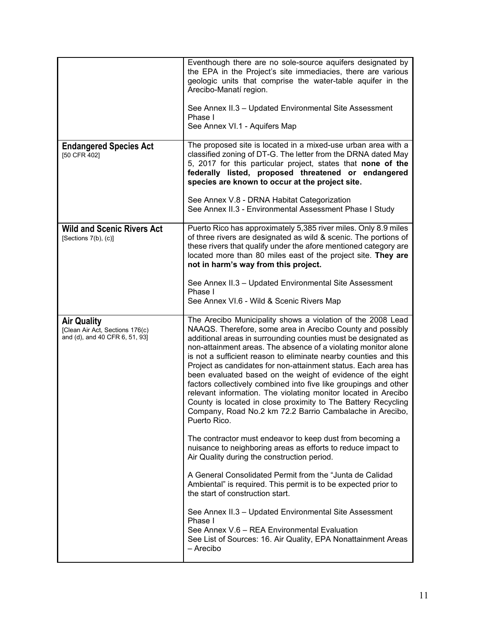|                                                                                         | Eventhough there are no sole-source aquifers designated by<br>the EPA in the Project's site immediacies, there are various<br>geologic units that comprise the water-table aquifer in the<br>Arecibo-Manatí region.<br>See Annex II.3 - Updated Environmental Site Assessment<br>Phase I<br>See Annex VI.1 - Aquifers Map                                                                                                                                                                                                                                                                                                                                                                                                                             |
|-----------------------------------------------------------------------------------------|-------------------------------------------------------------------------------------------------------------------------------------------------------------------------------------------------------------------------------------------------------------------------------------------------------------------------------------------------------------------------------------------------------------------------------------------------------------------------------------------------------------------------------------------------------------------------------------------------------------------------------------------------------------------------------------------------------------------------------------------------------|
| <b>Endangered Species Act</b><br>[50 CFR 402]                                           | The proposed site is located in a mixed-use urban area with a<br>classified zoning of DT-G. The letter from the DRNA dated May<br>5, 2017 for this particular project, states that none of the<br>federally listed, proposed threatened or endangered<br>species are known to occur at the project site.<br>See Annex V.8 - DRNA Habitat Categorization                                                                                                                                                                                                                                                                                                                                                                                               |
|                                                                                         | See Annex II.3 - Environmental Assessment Phase I Study                                                                                                                                                                                                                                                                                                                                                                                                                                                                                                                                                                                                                                                                                               |
| <b>Wild and Scenic Rivers Act</b><br>[Sections 7(b), (c)]                               | Puerto Rico has approximately 5,385 river miles. Only 8.9 miles<br>of three rivers are designated as wild & scenic. The portions of<br>these rivers that qualify under the afore mentioned category are<br>located more than 80 miles east of the project site. They are<br>not in harm's way from this project.                                                                                                                                                                                                                                                                                                                                                                                                                                      |
|                                                                                         | See Annex II.3 - Updated Environmental Site Assessment<br>Phase I<br>See Annex VI.6 - Wild & Scenic Rivers Map                                                                                                                                                                                                                                                                                                                                                                                                                                                                                                                                                                                                                                        |
| <b>Air Quality</b><br>[Clean Air Act, Sections 176(c)<br>and (d), and 40 CFR 6, 51, 93] | The Arecibo Municipality shows a violation of the 2008 Lead<br>NAAQS. Therefore, some area in Arecibo County and possibly<br>additional areas in surrounding counties must be designated as<br>non-attainment areas. The absence of a violating monitor alone<br>is not a sufficient reason to eliminate nearby counties and this<br>Project as candidates for non-attainment status. Each area has<br>been evaluated based on the weight of evidence of the eight<br>factors collectively combined into five like groupings and other<br>relevant information. The violating monitor located in Arecibo<br>County is located in close proximity to The Battery Recycling<br>Company, Road No.2 km 72.2 Barrio Cambalache in Arecibo,<br>Puerto Rico. |
|                                                                                         | The contractor must endeavor to keep dust from becoming a<br>nuisance to neighboring areas as efforts to reduce impact to<br>Air Quality during the construction period.                                                                                                                                                                                                                                                                                                                                                                                                                                                                                                                                                                              |
|                                                                                         | A General Consolidated Permit from the "Junta de Calidad"<br>Ambiental" is required. This permit is to be expected prior to<br>the start of construction start.                                                                                                                                                                                                                                                                                                                                                                                                                                                                                                                                                                                       |
|                                                                                         | See Annex II.3 - Updated Environmental Site Assessment<br>Phase I<br>See Annex V.6 - REA Environmental Evaluation<br>See List of Sources: 16. Air Quality, EPA Nonattainment Areas<br>– Arecibo                                                                                                                                                                                                                                                                                                                                                                                                                                                                                                                                                       |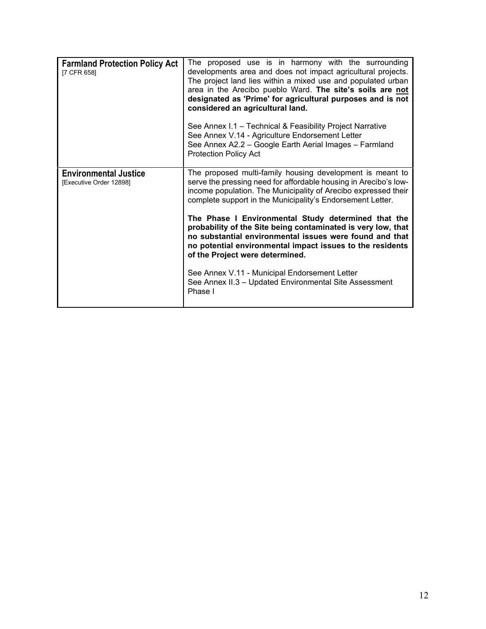| <b>Farmland Protection Policy Act</b><br>[7 CFR 658]    | The proposed use is in harmony with the surrounding<br>developments area and does not impact agricultural projects.<br>The project land lies within a mixed use and populated urban<br>area in the Arecibo pueblo Ward. The site's soils are not<br>designated as 'Prime' for agricultural purposes and is not<br>considered an agricultural land.<br>See Annex I.1 - Technical & Feasibility Project Narrative<br>See Annex V.14 - Agriculture Endorsement Letter<br>See Annex A2.2 - Google Earth Aerial Images - Farmland<br><b>Protection Policy Act</b> |
|---------------------------------------------------------|--------------------------------------------------------------------------------------------------------------------------------------------------------------------------------------------------------------------------------------------------------------------------------------------------------------------------------------------------------------------------------------------------------------------------------------------------------------------------------------------------------------------------------------------------------------|
| <b>Environmental Justice</b><br>[Executive Order 12898] | The proposed multi-family housing development is meant to<br>serve the pressing need for affordable housing in Arecibo's low-<br>income population. The Municipality of Arecibo expressed their<br>complete support in the Municipality's Endorsement Letter.                                                                                                                                                                                                                                                                                                |
|                                                         | The Phase I Environmental Study determined that the<br>probability of the Site being contaminated is very low, that<br>no substantial environmental issues were found and that<br>no potential environmental impact issues to the residents<br>of the Project were determined.                                                                                                                                                                                                                                                                               |
|                                                         | See Annex V.11 - Municipal Endorsement Letter<br>See Annex II.3 - Updated Environmental Site Assessment<br>Phase I                                                                                                                                                                                                                                                                                                                                                                                                                                           |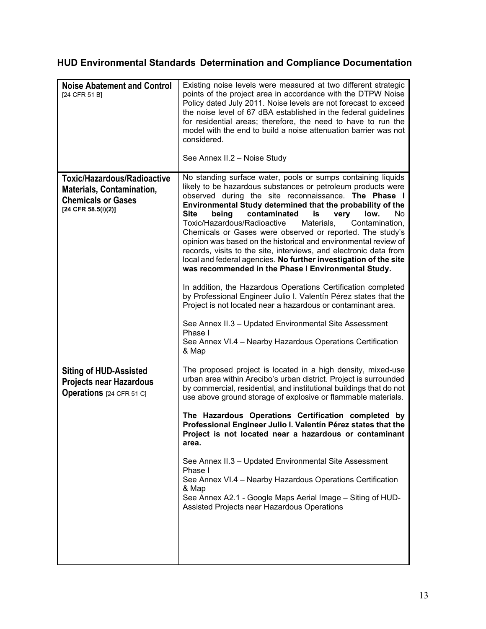# **HUD Environmental Standards Determination and Compliance Documentation**

| <b>Noise Abatement and Control</b><br>[24 CFR 51 B]                                                                          | Existing noise levels were measured at two different strategic<br>points of the project area in accordance with the DTPW Noise<br>Policy dated July 2011. Noise levels are not forecast to exceed<br>the noise level of 67 dBA established in the federal guidelines<br>for residential areas; therefore, the need to have to run the<br>model with the end to build a noise attenuation barrier was not<br>considered.<br>See Annex II.2 - Noise Study                                                                                                                                                                                                                                                                                                                                                                                                                                                                                                                                                                                                                 |
|------------------------------------------------------------------------------------------------------------------------------|-------------------------------------------------------------------------------------------------------------------------------------------------------------------------------------------------------------------------------------------------------------------------------------------------------------------------------------------------------------------------------------------------------------------------------------------------------------------------------------------------------------------------------------------------------------------------------------------------------------------------------------------------------------------------------------------------------------------------------------------------------------------------------------------------------------------------------------------------------------------------------------------------------------------------------------------------------------------------------------------------------------------------------------------------------------------------|
| <b>Toxic/Hazardous/Radioactive</b><br><b>Materials, Contamination,</b><br><b>Chemicals or Gases</b><br>$[24$ CFR 58.5(i)(2)] | No standing surface water, pools or sumps containing liquids<br>likely to be hazardous substances or petroleum products were<br>observed during the site reconnaissance. The Phase I<br>Environmental Study determined that the probability of the<br><b>Site</b><br>being<br>contaminated<br>is<br>low.<br>No.<br>very<br>Toxic/Hazardous/Radioactive<br>Materials,<br>Contamination,<br>Chemicals or Gases were observed or reported. The study's<br>opinion was based on the historical and environmental review of<br>records, visits to the site, interviews, and electronic data from<br>local and federal agencies. No further investigation of the site<br>was recommended in the Phase I Environmental Study.<br>In addition, the Hazardous Operations Certification completed<br>by Professional Engineer Julio I. Valentín Pérez states that the<br>Project is not located near a hazardous or contaminant area.<br>See Annex II.3 - Updated Environmental Site Assessment<br>Phase I<br>See Annex VI.4 - Nearby Hazardous Operations Certification<br>& Map |
| <b>Siting of HUD-Assisted</b><br><b>Projects near Hazardous</b><br><b>Operations</b> [24 CFR 51 C]                           | The proposed project is located in a high density, mixed-use<br>urban area within Arecibo's urban district. Project is surrounded<br>by commercial, residential, and institutional buildings that do not<br>use above ground storage of explosive or flammable materials.<br>The Hazardous Operations Certification completed by<br>Professional Engineer Julio I. Valentín Pérez states that the<br>Project is not located near a hazardous or contaminant<br>area.<br>See Annex II.3 - Updated Environmental Site Assessment<br>Phase I<br>See Annex VI.4 - Nearby Hazardous Operations Certification<br>& Map<br>See Annex A2.1 - Google Maps Aerial Image - Siting of HUD-<br>Assisted Projects near Hazardous Operations                                                                                                                                                                                                                                                                                                                                           |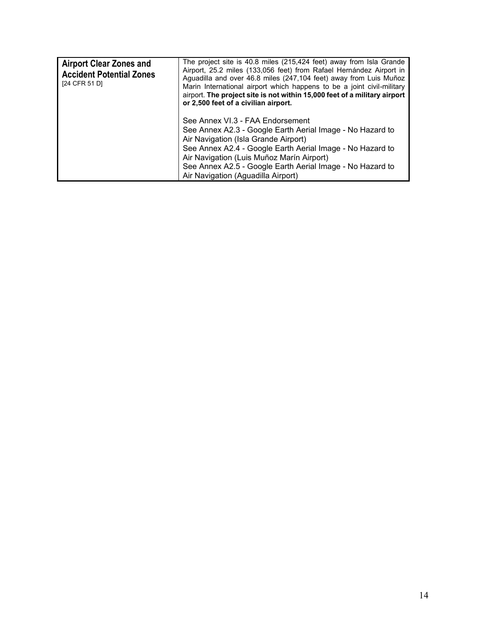| <b>Airport Clear Zones and</b><br><b>Accident Potential Zones</b><br>[24 CFR 51 D] | The project site is 40.8 miles (215,424 feet) away from Isla Grande<br>Airport, 25.2 miles (133,056 feet) from Rafael Hernández Airport in<br>Aguadilla and over 46.8 miles (247,104 feet) away from Luis Muñoz<br>Marin International airport which happens to be a joint civil-military<br>airport. The project site is not within 15,000 feet of a military airport<br>or 2,500 feet of a civilian airport. |
|------------------------------------------------------------------------------------|----------------------------------------------------------------------------------------------------------------------------------------------------------------------------------------------------------------------------------------------------------------------------------------------------------------------------------------------------------------------------------------------------------------|
|                                                                                    | See Annex VI.3 - FAA Endorsement<br>See Annex A2.3 - Google Earth Aerial Image - No Hazard to<br>Air Navigation (Isla Grande Airport)<br>See Annex A2.4 - Google Earth Aerial Image - No Hazard to<br>Air Navigation (Luis Muñoz Marín Airport)<br>See Annex A2.5 - Google Earth Aerial Image - No Hazard to<br>Air Navigation (Aguadilla Airport)                                                             |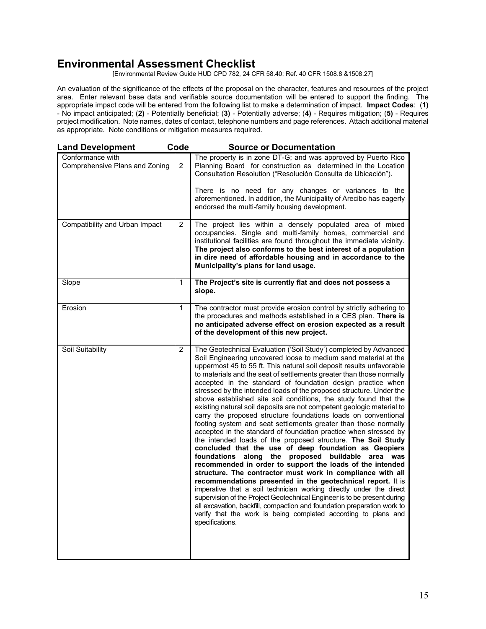# **Environmental Assessment Checklist**

[Environmental Review Guide HUD CPD 782, 24 CFR 58.40; Ref. 40 CFR 1508.8 &1508.27]

An evaluation of the significance of the effects of the proposal on the character, features and resources of the project area. Enter relevant base data and verifiable source documentation will be entered to support the finding. The appropriate impact code will be entered from the following list to make a determination of impact. **Impact Codes**: (**1)** - No impact anticipated; (**2)** - Potentially beneficial; (**3)** - Potentially adverse; (**4)** - Requires mitigation; (**5)** - Requires project modification. Note names, dates of contact, telephone numbers and page references. Attach additional material as appropriate. Note conditions or mitigation measures required.

| <b>Land Development</b>                            | Code           | <b>Source or Documentation</b>                                                                                                                                                                                                                                                                                                                                                                                                                                                                                                                                                                                                                                                                                                                                                                                                                                                                                                                                                                                                                                                                                                                                                                                                                                                                                                                                                                                                                                             |
|----------------------------------------------------|----------------|----------------------------------------------------------------------------------------------------------------------------------------------------------------------------------------------------------------------------------------------------------------------------------------------------------------------------------------------------------------------------------------------------------------------------------------------------------------------------------------------------------------------------------------------------------------------------------------------------------------------------------------------------------------------------------------------------------------------------------------------------------------------------------------------------------------------------------------------------------------------------------------------------------------------------------------------------------------------------------------------------------------------------------------------------------------------------------------------------------------------------------------------------------------------------------------------------------------------------------------------------------------------------------------------------------------------------------------------------------------------------------------------------------------------------------------------------------------------------|
| Conformance with<br>Comprehensive Plans and Zoning | $\overline{2}$ | The property is in zone DT-G; and was approved by Puerto Rico<br>Planning Board for construction as determined in the Location<br>Consultation Resolution ("Resolución Consulta de Ubicación").<br>There is no need for any changes or variances to the<br>aforementioned. In addition, the Municipality of Arecibo has eagerly<br>endorsed the multi-family housing development.                                                                                                                                                                                                                                                                                                                                                                                                                                                                                                                                                                                                                                                                                                                                                                                                                                                                                                                                                                                                                                                                                          |
| Compatibility and Urban Impact                     | 2              | The project lies within a densely populated area of mixed<br>occupancies. Single and multi-family homes, commercial and<br>institutional facilities are found throughout the immediate vicinity.<br>The project also conforms to the best interest of a population<br>in dire need of affordable housing and in accordance to the<br>Municipality's plans for land usage.                                                                                                                                                                                                                                                                                                                                                                                                                                                                                                                                                                                                                                                                                                                                                                                                                                                                                                                                                                                                                                                                                                  |
| Slope                                              | 1              | The Project's site is currently flat and does not possess a<br>slope.                                                                                                                                                                                                                                                                                                                                                                                                                                                                                                                                                                                                                                                                                                                                                                                                                                                                                                                                                                                                                                                                                                                                                                                                                                                                                                                                                                                                      |
| Erosion                                            | 1              | The contractor must provide erosion control by strictly adhering to<br>the procedures and methods established in a CES plan. There is<br>no anticipated adverse effect on erosion expected as a result<br>of the development of this new project.                                                                                                                                                                                                                                                                                                                                                                                                                                                                                                                                                                                                                                                                                                                                                                                                                                                                                                                                                                                                                                                                                                                                                                                                                          |
| Soil Suitability                                   | $\overline{2}$ | The Geotechnical Evaluation ('Soil Study') completed by Advanced<br>Soil Engineering uncovered loose to medium sand material at the<br>uppermost 45 to 55 ft. This natural soil deposit results unfavorable<br>to materials and the seat of settlements greater than those normally<br>accepted in the standard of foundation design practice when<br>stressed by the intended loads of the proposed structure. Under the<br>above established site soil conditions, the study found that the<br>existing natural soil deposits are not competent geologic material to<br>carry the proposed structure foundations loads on conventional<br>footing system and seat settlements greater than those normally<br>accepted in the standard of foundation practice when stressed by<br>the intended loads of the proposed structure. The Soil Study<br>concluded that the use of deep foundation as Geopiers<br>foundations along the proposed buildable area was<br>recommended in order to support the loads of the intended<br>structure. The contractor must work in compliance with all<br>recommendations presented in the geotechnical report. It is<br>imperative that a soil technician working directly under the direct<br>supervision of the Project Geotechnical Engineer is to be present during<br>all excavation, backfill, compaction and foundation preparation work to<br>verify that the work is being completed according to plans and<br>specifications. |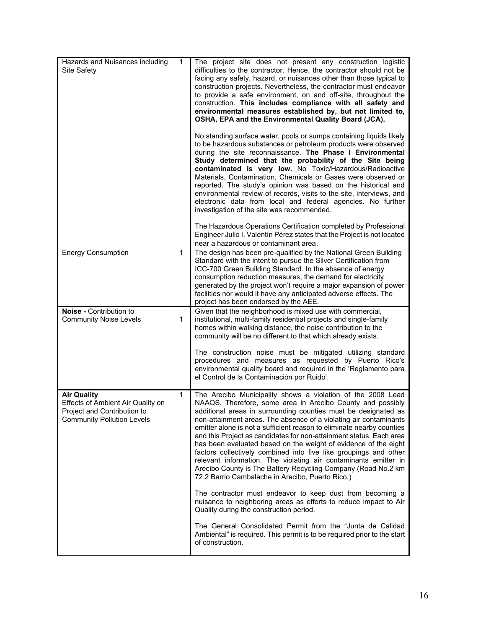| Hazards and Nuisances including<br>Site Safety                                                                              | $\mathbf{1}$ | The project site does not present any construction logistic<br>difficulties to the contractor. Hence, the contractor should not be<br>facing any safety, hazard, or nuisances other than those typical to<br>construction projects. Nevertheless, the contractor must endeavor<br>to provide a safe environment, on and off-site, throughout the<br>construction. This includes compliance with all safety and<br>environmental measures established by, but not limited to,<br>OSHA, EPA and the Environmental Quality Board (JCA).                                                                                                                                                                                                            |
|-----------------------------------------------------------------------------------------------------------------------------|--------------|-------------------------------------------------------------------------------------------------------------------------------------------------------------------------------------------------------------------------------------------------------------------------------------------------------------------------------------------------------------------------------------------------------------------------------------------------------------------------------------------------------------------------------------------------------------------------------------------------------------------------------------------------------------------------------------------------------------------------------------------------|
|                                                                                                                             |              | No standing surface water, pools or sumps containing liquids likely<br>to be hazardous substances or petroleum products were observed<br>during the site reconnaissance. The Phase I Environmental<br>Study determined that the probability of the Site being<br>contaminated is very low. No Toxic/Hazardous/Radioactive<br>Materials, Contamination, Chemicals or Gases were observed or<br>reported. The study's opinion was based on the historical and<br>environmental review of records, visits to the site, interviews, and<br>electronic data from local and federal agencies. No further<br>investigation of the site was recommended.                                                                                                |
|                                                                                                                             |              | The Hazardous Operations Certification completed by Professional<br>Engineer Julio I. Valentín Pérez states that the Project is not located<br>near a hazardous or contaminant area.                                                                                                                                                                                                                                                                                                                                                                                                                                                                                                                                                            |
| <b>Energy Consumption</b>                                                                                                   | 1            | The design has been pre-qualified by the National Green Building<br>Standard with the intent to pursue the Silver Certification from<br>ICC-700 Green Building Standard. In the absence of energy<br>consumption reduction measures, the demand for electricity<br>generated by the project won't require a major expansion of power<br>facilities nor would it have any anticipated adverse effects. The<br>project has been endorsed by the AEE.                                                                                                                                                                                                                                                                                              |
| Noise - Contribution to<br><b>Community Noise Levels</b>                                                                    | 1            | Given that the neighborhood is mixed use with commercial,<br>institutional, multi-family residential projects and single-family<br>homes within walking distance, the noise contribution to the<br>community will be no different to that which already exists.<br>The construction noise must be mitigated utilizing standard<br>procedures and measures as requested by Puerto Rico's                                                                                                                                                                                                                                                                                                                                                         |
|                                                                                                                             |              | environmental quality board and required in the 'Reglamento para                                                                                                                                                                                                                                                                                                                                                                                                                                                                                                                                                                                                                                                                                |
|                                                                                                                             |              | el Control de la Contaminación por Ruido'.                                                                                                                                                                                                                                                                                                                                                                                                                                                                                                                                                                                                                                                                                                      |
| <b>Air Quality</b><br>Effects of Ambient Air Quality on<br>Project and Contribution to<br><b>Community Pollution Levels</b> | 1            | The Arecibo Municipality shows a violation of the 2008 Lead<br>NAAQS. Therefore, some area in Arecibo County and possibly<br>additional areas in surrounding counties must be designated as<br>non-attainment areas. The absence of a violating air contaminants<br>emitter alone is not a sufficient reason to eliminate nearby counties<br>and this Project as candidates for non-attainment status. Each area<br>has been evaluated based on the weight of evidence of the eight<br>factors collectively combined into five like groupings and other<br>relevant information. The violating air contaminants emitter in<br>Arecibo County is The Battery Recycling Company (Road No.2 km<br>72.2 Barrio Cambalache in Arecibo, Puerto Rico.) |
|                                                                                                                             |              | The contractor must endeavor to keep dust from becoming a<br>nuisance to neighboring areas as efforts to reduce impact to Air<br>Quality during the construction period.                                                                                                                                                                                                                                                                                                                                                                                                                                                                                                                                                                        |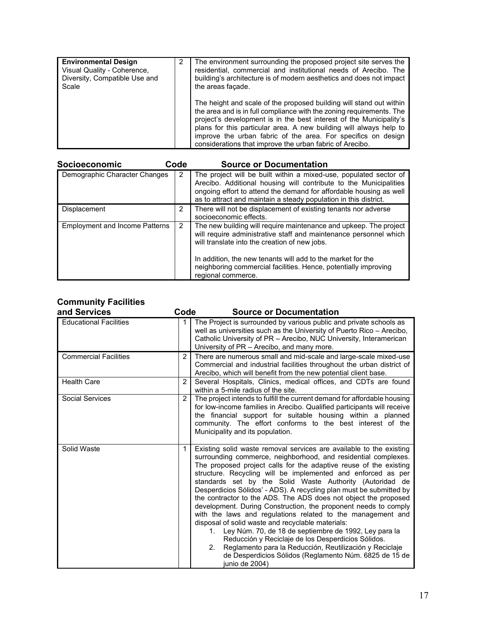| <b>Environmental Design</b><br>Visual Quality - Coherence,<br>Diversity, Compatible Use and<br>Scale | 2 | The environment surrounding the proposed project site serves the<br>residential, commercial and institutional needs of Arecibo. The<br>building's architecture is of modern aesthetics and does not impact<br>the areas facade.                                                                                                                                                                                       |
|------------------------------------------------------------------------------------------------------|---|-----------------------------------------------------------------------------------------------------------------------------------------------------------------------------------------------------------------------------------------------------------------------------------------------------------------------------------------------------------------------------------------------------------------------|
|                                                                                                      |   | The height and scale of the proposed building will stand out within<br>the area and is in full compliance with the zoning requirements. The<br>project's development is in the best interest of the Municipality's<br>plans for this particular area. A new building will always help to<br>improve the urban fabric of the area. For specifics on design<br>considerations that improve the urban fabric of Arecibo. |

| Socioeconomic                         | Code | <b>Source or Documentation</b>                                                                                                                                                                                                                                                                                                                  |
|---------------------------------------|------|-------------------------------------------------------------------------------------------------------------------------------------------------------------------------------------------------------------------------------------------------------------------------------------------------------------------------------------------------|
| Demographic Character Changes         | 2    | The project will be built within a mixed-use, populated sector of<br>Arecibo. Additional housing will contribute to the Municipalities<br>ongoing effort to attend the demand for affordable housing as well<br>as to attract and maintain a steady population in this district.                                                                |
| Displacement                          | 2    | There will not be displacement of existing tenants nor adverse<br>socioeconomic effects.                                                                                                                                                                                                                                                        |
| <b>Employment and Income Patterns</b> | 2    | The new building will require maintenance and upkeep. The project<br>will require administrative staff and maintenance personnel which<br>will translate into the creation of new jobs.<br>In addition, the new tenants will add to the market for the<br>neighboring commercial facilities. Hence, potentially improving<br>regional commerce. |

# **Community Facilities**

| and Services                  | Code           | <b>Source or Documentation</b>                                                                                                                                                                                                                                                                                                                                                                                                                                                                                                                                                                                                                                                                                                                                                                                                                                                                                                            |
|-------------------------------|----------------|-------------------------------------------------------------------------------------------------------------------------------------------------------------------------------------------------------------------------------------------------------------------------------------------------------------------------------------------------------------------------------------------------------------------------------------------------------------------------------------------------------------------------------------------------------------------------------------------------------------------------------------------------------------------------------------------------------------------------------------------------------------------------------------------------------------------------------------------------------------------------------------------------------------------------------------------|
| <b>Educational Facilities</b> | 1              | The Project is surrounded by various public and private schools as<br>well as universities such as the University of Puerto Rico - Arecibo,<br>Catholic University of PR - Arecibo, NUC University, Interamerican<br>University of PR - Arecibo, and many more.                                                                                                                                                                                                                                                                                                                                                                                                                                                                                                                                                                                                                                                                           |
| <b>Commercial Facilities</b>  | $\overline{2}$ | There are numerous small and mid-scale and large-scale mixed-use<br>Commercial and industrial facilities throughout the urban district of<br>Arecibo, which will benefit from the new potential client base.                                                                                                                                                                                                                                                                                                                                                                                                                                                                                                                                                                                                                                                                                                                              |
| <b>Health Care</b>            | $\overline{2}$ | Several Hospitals, Clinics, medical offices, and CDTs are found<br>within a 5-mile radius of the site.                                                                                                                                                                                                                                                                                                                                                                                                                                                                                                                                                                                                                                                                                                                                                                                                                                    |
| Social Services               | $\overline{2}$ | The project intends to fulfill the current demand for affordable housing<br>for low-income families in Arecibo. Qualified participants will receive<br>the financial support for suitable housing within a planned<br>community. The effort conforms to the best interest of the<br>Municipality and its population.                                                                                                                                                                                                                                                                                                                                                                                                                                                                                                                                                                                                                      |
| Solid Waste                   | $\mathbf 1$    | Existing solid waste removal services are available to the existing<br>surrounding commerce, neighborhood, and residential complexes.<br>The proposed project calls for the adaptive reuse of the existing<br>structure. Recycling will be implemented and enforced as per<br>standards set by the Solid Waste Authority (Autoridad de<br>Desperdicios Sólidos' - ADS). A recycling plan must be submitted by<br>the contractor to the ADS. The ADS does not object the proposed<br>development. During Construction, the proponent needs to comply<br>with the laws and regulations related to the management and<br>disposal of solid waste and recyclable materials:<br>Ley Núm. 70, de 18 de septiembre de 1992, Ley para la<br>1.<br>Reducción y Reciclaje de los Desperdicios Sólidos.<br>Reglamento para la Reducción, Reutilización y Reciclaje<br>2.<br>de Desperdicios Sólidos (Reglamento Núm. 6825 de 15 de<br>junio de 2004) |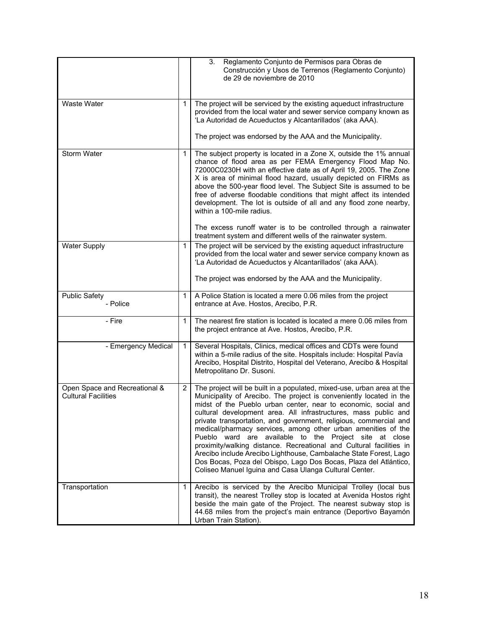|                                                             |              | 3.<br>Reglamento Conjunto de Permisos para Obras de<br>Construcción y Usos de Terrenos (Reglamento Conjunto)<br>de 29 de noviembre de 2010                                                                                                                                                                                                                                                                                                                                                                                                                                                                                                                                                                                                                   |
|-------------------------------------------------------------|--------------|--------------------------------------------------------------------------------------------------------------------------------------------------------------------------------------------------------------------------------------------------------------------------------------------------------------------------------------------------------------------------------------------------------------------------------------------------------------------------------------------------------------------------------------------------------------------------------------------------------------------------------------------------------------------------------------------------------------------------------------------------------------|
| Waste Water                                                 | 1            | The project will be serviced by the existing aqueduct infrastructure<br>provided from the local water and sewer service company known as<br>'La Autoridad de Acueductos y Alcantarillados' (aka AAA).<br>The project was endorsed by the AAA and the Municipality.                                                                                                                                                                                                                                                                                                                                                                                                                                                                                           |
| Storm Water                                                 | 1            | The subject property is located in a Zone X, outside the 1% annual<br>chance of flood area as per FEMA Emergency Flood Map No.<br>72000C0230H with an effective date as of April 19, 2005. The Zone<br>X is area of minimal flood hazard, usually depicted on FIRMs as<br>above the 500-year flood level. The Subject Site is assumed to be<br>free of adverse floodable conditions that might affect its intended<br>development. The lot is outside of all and any flood zone nearby,<br>within a 100-mile radius.<br>The excess runoff water is to be controlled through a rainwater<br>treatment system and different wells of the rainwater system.                                                                                                     |
| <b>Water Supply</b>                                         | 1            | The project will be serviced by the existing aqueduct infrastructure<br>provided from the local water and sewer service company known as<br>'La Autoridad de Acueductos y Alcantarillados' (aka AAA).<br>The project was endorsed by the AAA and the Municipality.                                                                                                                                                                                                                                                                                                                                                                                                                                                                                           |
| <b>Public Safety</b><br>- Police                            | 1            | A Police Station is located a mere 0.06 miles from the project<br>entrance at Ave. Hostos, Arecibo, P.R.                                                                                                                                                                                                                                                                                                                                                                                                                                                                                                                                                                                                                                                     |
| - Fire                                                      | 1            | The nearest fire station is located is located a mere 0.06 miles from<br>the project entrance at Ave. Hostos, Arecibo, P.R.                                                                                                                                                                                                                                                                                                                                                                                                                                                                                                                                                                                                                                  |
| - Emergency Medical                                         | $\mathbf{1}$ | Several Hospitals, Clinics, medical offices and CDTs were found<br>within a 5-mile radius of the site. Hospitals include: Hospital Pavía<br>Arecibo, Hospital Distrito, Hospital del Veterano, Arecibo & Hospital<br>Metropolitano Dr. Susoni.                                                                                                                                                                                                                                                                                                                                                                                                                                                                                                               |
| Open Space and Recreational &<br><b>Cultural Facilities</b> | 2            | The project will be built in a populated, mixed-use, urban area at the<br>Municipality of Arecibo. The project is conveniently located in the<br>midst of the Pueblo urban center, near to economic, social and<br>cultural development area. All infrastructures, mass public and<br>private transportation, and government, religious, commercial and<br>medical/pharmacy services, among other urban amenities of the<br>Pueblo ward are available to the Project site at close<br>proximity/walking distance. Recreational and Cultural facilities in<br>Arecibo include Arecibo Lighthouse, Cambalache State Forest, Lago<br>Dos Bocas, Poza del Obispo, Lago Dos Bocas, Plaza del Atlántico,<br>Coliseo Manuel Iguina and Casa Ulanga Cultural Center. |
| Transportation                                              | 1            | Arecibo is serviced by the Arecibo Municipal Trolley (local bus<br>transit), the nearest Trolley stop is located at Avenida Hostos right<br>beside the main gate of the Project. The nearest subway stop is<br>44.68 miles from the project's main entrance (Deportivo Bayamón<br>Urban Train Station).                                                                                                                                                                                                                                                                                                                                                                                                                                                      |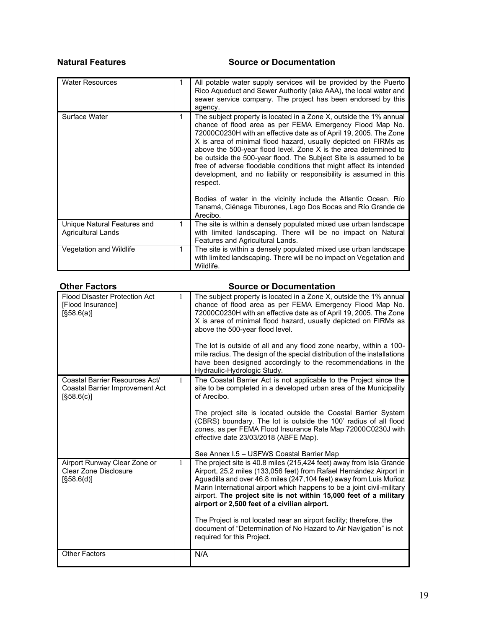## **Natural Features Source or Documentation**

| <b>Water Resources</b>                                   | 1 | All potable water supply services will be provided by the Puerto<br>Rico Aqueduct and Sewer Authority (aka AAA), the local water and<br>sewer service company. The project has been endorsed by this<br>agency.                                                                                                                                                                                                                                                                                                                                                                                                                            |
|----------------------------------------------------------|---|--------------------------------------------------------------------------------------------------------------------------------------------------------------------------------------------------------------------------------------------------------------------------------------------------------------------------------------------------------------------------------------------------------------------------------------------------------------------------------------------------------------------------------------------------------------------------------------------------------------------------------------------|
| Surface Water                                            | 1 | The subject property is located in a Zone X, outside the 1% annual<br>chance of flood area as per FEMA Emergency Flood Map No.<br>72000C0230H with an effective date as of April 19, 2005. The Zone<br>X is area of minimal flood hazard, usually depicted on FIRMs as<br>above the 500-year flood level. Zone X is the area determined to<br>be outside the 500-year flood. The Subject Site is assumed to be<br>free of adverse floodable conditions that might affect its intended<br>development, and no liability or responsibility is assumed in this<br>respect.<br>Bodies of water in the vicinity include the Atlantic Ocean, Río |
|                                                          |   | Tanamá, Ciénaga Tiburones, Lago Dos Bocas and Río Grande de<br>Arecibo.                                                                                                                                                                                                                                                                                                                                                                                                                                                                                                                                                                    |
| Unique Natural Features and<br><b>Agricultural Lands</b> | 1 | The site is within a densely populated mixed use urban landscape<br>with limited landscaping. There will be no impact on Natural<br>Features and Agricultural Lands.                                                                                                                                                                                                                                                                                                                                                                                                                                                                       |
| Vegetation and Wildlife                                  | 1 | The site is within a densely populated mixed use urban landscape<br>with limited landscaping. There will be no impact on Vegetation and<br>Wildlife.                                                                                                                                                                                                                                                                                                                                                                                                                                                                                       |

| <b>Other Factors</b>                                                            |              | <b>Source or Documentation</b>                                                                                                                                                                                                                                                                                                                                                                                                                              |
|---------------------------------------------------------------------------------|--------------|-------------------------------------------------------------------------------------------------------------------------------------------------------------------------------------------------------------------------------------------------------------------------------------------------------------------------------------------------------------------------------------------------------------------------------------------------------------|
| Flood Disaster Protection Act<br>[Flood Insurance]<br>[§58.6(a)]                | 1            | The subject property is located in a Zone X, outside the 1% annual<br>chance of flood area as per FEMA Emergency Flood Map No.<br>72000C0230H with an effective date as of April 19, 2005. The Zone<br>X is area of minimal flood hazard, usually depicted on FIRMs as<br>above the 500-year flood level.<br>The lot is outside of all and any flood zone nearby, within a 100-<br>mile radius. The design of the special distribution of the installations |
|                                                                                 |              | have been designed accordingly to the recommendations in the<br>Hydraulic-Hydrologic Study.                                                                                                                                                                                                                                                                                                                                                                 |
| Coastal Barrier Resources Act/<br>Coastal Barrier Improvement Act<br>[§58.6(c)] | 1            | The Coastal Barrier Act is not applicable to the Project since the<br>site to be completed in a developed urban area of the Municipality<br>of Arecibo.                                                                                                                                                                                                                                                                                                     |
|                                                                                 |              | The project site is located outside the Coastal Barrier System<br>(CBRS) boundary. The lot is outside the 100' radius of all flood<br>zones, as per FEMA Flood Insurance Rate Map 72000C0230J with<br>effective date 23/03/2018 (ABFE Map).<br>See Annex I.5 - USFWS Coastal Barrier Map                                                                                                                                                                    |
| Airport Runway Clear Zone or<br>Clear Zone Disclosure<br>[§58.6(d)]             | $\mathbf{1}$ | The project site is 40.8 miles (215,424 feet) away from Isla Grande<br>Airport, 25.2 miles (133,056 feet) from Rafael Hernández Airport in<br>Aguadilla and over 46.8 miles (247,104 feet) away from Luis Muñoz<br>Marin International airport which happens to be a joint civil-military<br>airport. The project site is not within 15,000 feet of a military<br>airport or 2,500 feet of a civilian airport.                                              |
|                                                                                 |              | The Project is not located near an airport facility; therefore, the<br>document of "Determination of No Hazard to Air Navigation" is not<br>required for this Project.                                                                                                                                                                                                                                                                                      |
| <b>Other Factors</b>                                                            |              | N/A                                                                                                                                                                                                                                                                                                                                                                                                                                                         |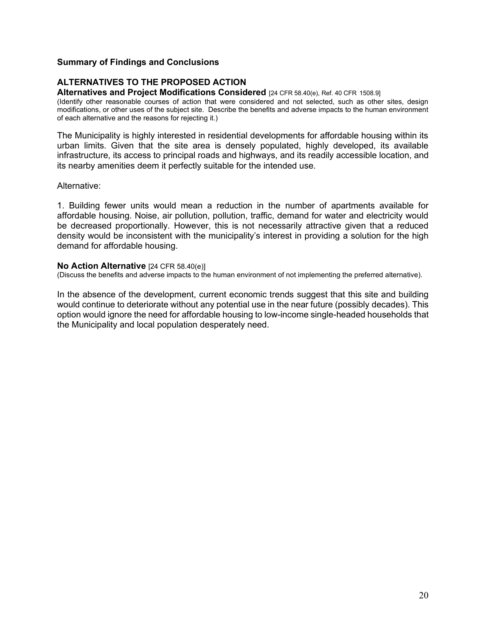#### **Summary of Findings and Conclusions**

## **ALTERNATIVES TO THE PROPOSED ACTION**

**Alternatives and Project Modifications Considered** [24 CFR 58.40(e), Ref. 40 CFR 1508.9]

(Identify other reasonable courses of action that were considered and not selected, such as other sites, design modifications, or other uses of the subject site. Describe the benefits and adverse impacts to the human environment of each alternative and the reasons for rejecting it.)

The Municipality is highly interested in residential developments for affordable housing within its urban limits. Given that the site area is densely populated, highly developed, its available infrastructure, its access to principal roads and highways, and its readily accessible location, and its nearby amenities deem it perfectly suitable for the intended use.

#### Alternative:

1. Building fewer units would mean a reduction in the number of apartments available for affordable housing. Noise, air pollution, pollution, traffic, demand for water and electricity would be decreased proportionally. However, this is not necessarily attractive given that a reduced density would be inconsistent with the municipality's interest in providing a solution for the high demand for affordable housing.

#### **No Action Alternative** [24 CFR 58.40(e)]

(Discuss the benefits and adverse impacts to the human environment of not implementing the preferred alternative).

In the absence of the development, current economic trends suggest that this site and building would continue to deteriorate without any potential use in the near future (possibly decades). This option would ignore the need for affordable housing to low-income single-headed households that the Municipality and local population desperately need.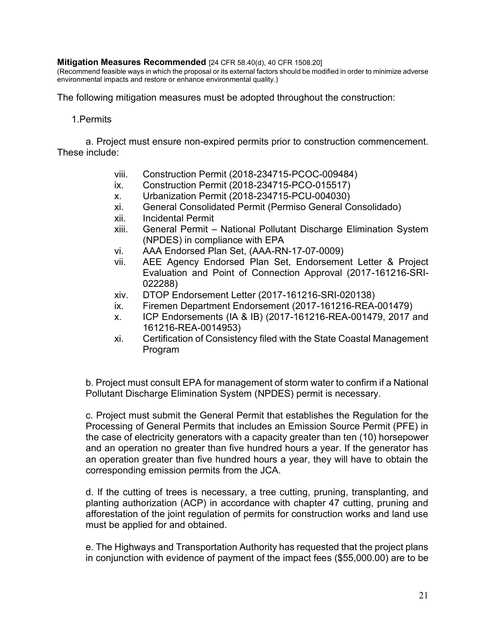#### **Mitigation Measures Recommended** [24 CFR 58.40(d), 40 CFR 1508.20]

(Recommend feasible ways in which the proposal or its external factors should be modified in order to minimize adverse environmental impacts and restore or enhance environmental quality.)

The following mitigation measures must be adopted throughout the construction:

### 1.Permits

a. Project must ensure non-expired permits prior to construction commencement. These include:

- viii. Construction Permit (2018-234715-PCOC-009484)
- ix. Construction Permit (2018-234715-PCO-015517)
- x. Urbanization Permit (2018-234715-PCU-004030)
- xi. General Consolidated Permit (Permiso General Consolidado)
- xii. Incidental Permit
- xiii. General Permit National Pollutant Discharge Elimination System (NPDES) in compliance with EPA
- vi. AAA Endorsed Plan Set, (AAA-RN-17-07-0009)
- vii. AEE Agency Endorsed Plan Set, Endorsement Letter & Project Evaluation and Point of Connection Approval (2017-161216-SRI-022288)
- xiv. DTOP Endorsement Letter (2017-161216-SRI-020138)
- ix. Firemen Department Endorsement (2017-161216-REA-001479)
- x. ICP Endorsements (IA & IB) (2017-161216-REA-001479, 2017 and 161216-REA-0014953)
- xi. Certification of Consistency filed with the State Coastal Management Program

b. Project must consult EPA for management of storm water to confirm if a National Pollutant Discharge Elimination System (NPDES) permit is necessary.

c. Project must submit the General Permit that establishes the Regulation for the Processing of General Permits that includes an Emission Source Permit (PFE) in the case of electricity generators with a capacity greater than ten (10) horsepower and an operation no greater than five hundred hours a year. If the generator has an operation greater than five hundred hours a year, they will have to obtain the corresponding emission permits from the JCA.

d. If the cutting of trees is necessary, a tree cutting, pruning, transplanting, and planting authorization (ACP) in accordance with chapter 47 cutting, pruning and afforestation of the joint regulation of permits for construction works and land use must be applied for and obtained.

e. The Highways and Transportation Authority has requested that the project plans in conjunction with evidence of payment of the impact fees (\$55,000.00) are to be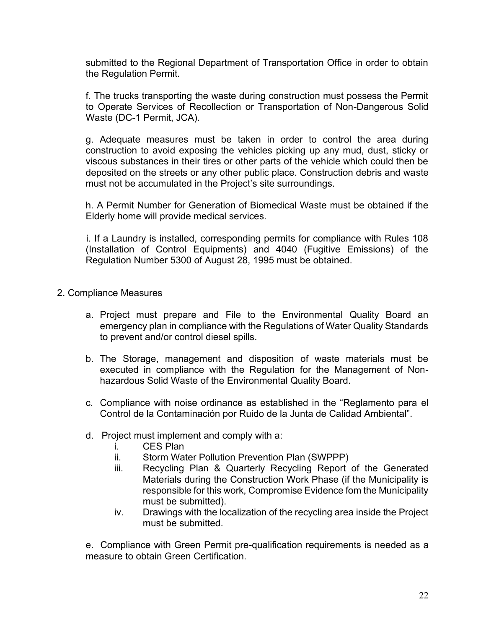submitted to the Regional Department of Transportation Office in order to obtain the Regulation Permit.

f. The trucks transporting the waste during construction must possess the Permit to Operate Services of Recollection or Transportation of Non-Dangerous Solid Waste (DC-1 Permit, JCA).

g. Adequate measures must be taken in order to control the area during construction to avoid exposing the vehicles picking up any mud, dust, sticky or viscous substances in their tires or other parts of the vehicle which could then be deposited on the streets or any other public place. Construction debris and waste must not be accumulated in the Project's site surroundings.

h. A Permit Number for Generation of Biomedical Waste must be obtained if the Elderly home will provide medical services.

i. If a Laundry is installed, corresponding permits for compliance with Rules 108 (Installation of Control Equipments) and 4040 (Fugitive Emissions) of the Regulation Number 5300 of August 28, 1995 must be obtained.

- 2. Compliance Measures
	- a. Project must prepare and File to the Environmental Quality Board an emergency plan in compliance with the Regulations of Water Quality Standards to prevent and/or control diesel spills.
	- b. The Storage, management and disposition of waste materials must be executed in compliance with the Regulation for the Management of Nonhazardous Solid Waste of the Environmental Quality Board.
	- c. Compliance with noise ordinance as established in the "Reglamento para el Control de la Contaminación por Ruido de la Junta de Calidad Ambiental".
	- d. Project must implement and comply with a:
		- i. CES Plan
		- ii. Storm Water Pollution Prevention Plan (SWPPP)
		- iii. Recycling Plan & Quarterly Recycling Report of the Generated Materials during the Construction Work Phase (if the Municipality is responsible for this work, Compromise Evidence fom the Municipality must be submitted).
		- iv. Drawings with the localization of the recycling area inside the Project must be submitted.

e. Compliance with Green Permit pre-qualification requirements is needed as a measure to obtain Green Certification.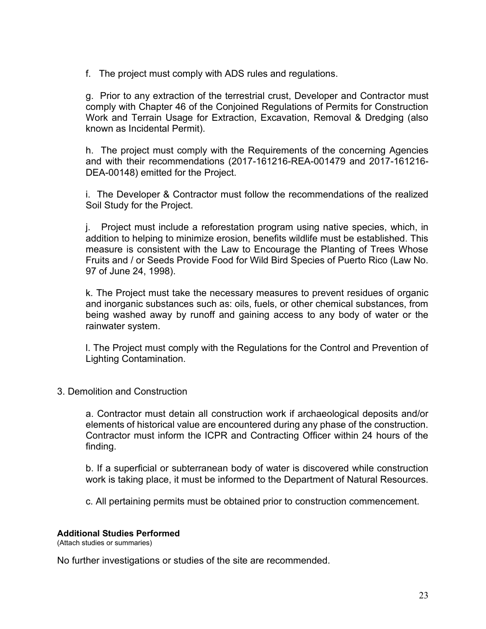f. The project must comply with ADS rules and regulations.

g. Prior to any extraction of the terrestrial crust, Developer and Contractor must comply with Chapter 46 of the Conjoined Regulations of Permits for Construction Work and Terrain Usage for Extraction, Excavation, Removal & Dredging (also known as Incidental Permit).

h. The project must comply with the Requirements of the concerning Agencies and with their recommendations (2017-161216-REA-001479 and 2017-161216- DEA-00148) emitted for the Project.

i. The Developer & Contractor must follow the recommendations of the realized Soil Study for the Project.

j. Project must include a reforestation program using native species, which, in addition to helping to minimize erosion, benefits wildlife must be established. This measure is consistent with the Law to Encourage the Planting of Trees Whose Fruits and / or Seeds Provide Food for Wild Bird Species of Puerto Rico (Law No. 97 of June 24, 1998).

k. The Project must take the necessary measures to prevent residues of organic and inorganic substances such as: oils, fuels, or other chemical substances, from being washed away by runoff and gaining access to any body of water or the rainwater system.

l. The Project must comply with the Regulations for the Control and Prevention of Lighting Contamination.

3. Demolition and Construction

a. Contractor must detain all construction work if archaeological deposits and/or elements of historical value are encountered during any phase of the construction. Contractor must inform the ICPR and Contracting Officer within 24 hours of the finding.

b. If a superficial or subterranean body of water is discovered while construction work is taking place, it must be informed to the Department of Natural Resources.

c. All pertaining permits must be obtained prior to construction commencement.

## **Additional Studies Performed**

(Attach studies or summaries)

No further investigations or studies of the site are recommended.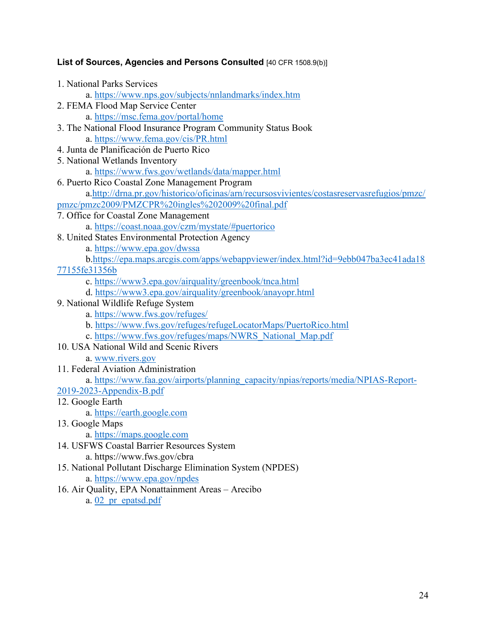## List of Sources, Agencies and Persons Consulted [40 CFR 1508.9(b)]

1. National Parks Services

a.<https://www.nps.gov/subjects/nnlandmarks/index.htm>

- 2. FEMA Flood Map Service Center a.<https://msc.fema.gov/portal/home>
- 3. The National Flood Insurance Program Community Status Book a.<https://www.fema.gov/cis/PR.html>
- 4. Junta de Planificación de Puerto Rico
- 5. National Wetlands Inventory
	- a.<https://www.fws.gov/wetlands/data/mapper.html>
- 6. Puerto Rico Coastal Zone Management Program a[.http://drna.pr.gov/historico/oficinas/arn/recursosvivientes/costasreservasrefugios/pmzc/](http://drna.pr.gov/historico/oficinas/arn/recursosvivientes/costasreservasrefugios/pmzc/pmzc/pmzc2009/PMZCPR%20ingles%202009%20final.pdf) [pmzc/pmzc2009/PMZCPR%20ingles%202009%20final.pdf](http://drna.pr.gov/historico/oficinas/arn/recursosvivientes/costasreservasrefugios/pmzc/pmzc/pmzc2009/PMZCPR%20ingles%202009%20final.pdf)
- 7. Office for Coastal Zone Management
	- a.<https://coast.noaa.gov/czm/mystate/#puertorico>
- 8. United States Environmental Protection Agency
	- a.<https://www.epa.gov/dwssa>
	- b[.https://epa.maps.arcgis.com/apps/webappviewer/index.html?id=9ebb047ba3ec41ada18](https://epa.maps.arcgis.com/apps/webappviewer/index.html?id=9ebb047ba3ec41ada1877155fe31356b)

[77155fe31356b](https://epa.maps.arcgis.com/apps/webappviewer/index.html?id=9ebb047ba3ec41ada1877155fe31356b) 

- c.<https://www3.epa.gov/airquality/greenbook/tnca.html>
- d.<https://www3.epa.gov/airquality/greenbook/anayopr.html>
- 9. National Wildlife Refuge System
	- a.<https://www.fws.gov/refuges/>
	- b.<https://www.fws.gov/refuges/refugeLocatorMaps/PuertoRico.html>
	- c. [https://www.fws.gov/refuges/maps/NWRS\\_National\\_Map.pdf](https://www.fws.gov/refuges/maps/NWRS_National_Map.pdf)
- 10. USA National Wild and Scenic Rivers
	- a. [www.rivers.gov](http://www.rivers.gov/)
- 11. Federal Aviation Administration

a. [https://www.faa.gov/airports/planning\\_capacity/npias/reports/media/NPIAS-Report-](https://www.faa.gov/airports/planning_capacity/npias/reports/media/NPIAS-Report-2019-2023-Appendix-B.pdf)

- [2019-2023-Appendix-B.pdf](https://www.faa.gov/airports/planning_capacity/npias/reports/media/NPIAS-Report-2019-2023-Appendix-B.pdf)
- 12. Google Earth
	- a. [https://earth.google.com](https://earth.google.com/)
- 13. Google Maps
	- a. [https://maps.google.com](https://maps.google.com/)
- 14. USFWS Coastal Barrier Resources System
	- a.<https://www.fws.gov/cbra>
- 15. National Pollutant Discharge Elimination System (NPDES)
	- a.<https://www.epa.gov/npdes>
- 16. Air Quality, EPA Nonattainment Areas Arecibo
	- a. [02\\_pr\\_epatsd.pdf](https://www.epa.gov/sites/default/files/2016-04/documents/02_pr_epatsd.pdf)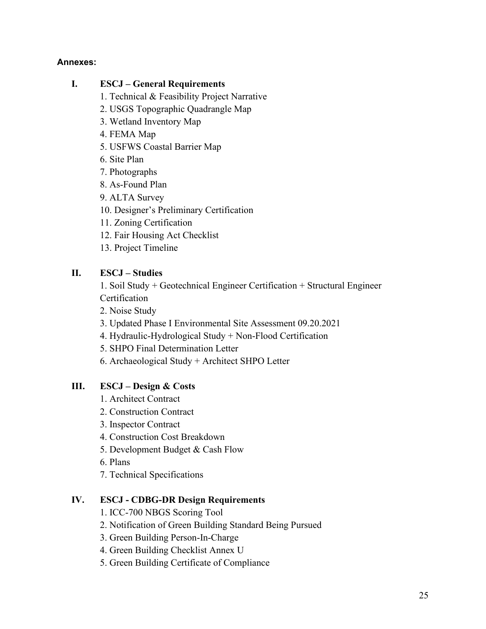## **Annexes:**

# **I. ESCJ – General Requirements**

- 1. Technical & Feasibility Project Narrative
- 2. USGS Topographic Quadrangle Map
- 3. Wetland Inventory Map
- 4. FEMA Map
- 5. USFWS Coastal Barrier Map
- 6. Site Plan
- 7. Photographs
- 8. As-Found Plan
- 9. ALTA Survey
- 10. Designer's Preliminary Certification
- 11. Zoning Certification
- 12. Fair Housing Act Checklist
- 13. Project Timeline

# **II. ESCJ – Studies**

- 1. Soil Study + Geotechnical Engineer Certification + Structural Engineer **Certification**
- 2. Noise Study
- 3. Updated Phase I Environmental Site Assessment 09.20.2021
- 4. Hydraulic-Hydrological Study + Non-Flood Certification
- 5. SHPO Final Determination Letter
- 6. Archaeological Study + Architect SHPO Letter

# **III. ESCJ – Design & Costs**

- 1. Architect Contract
- 2. Construction Contract
- 3. Inspector Contract
- 4. Construction Cost Breakdown
- 5. Development Budget & Cash Flow
- 6. Plans
- 7. Technical Specifications

# **IV. ESCJ - CDBG-DR Design Requirements**

- 1. ICC-700 NBGS Scoring Tool
- 2. Notification of Green Building Standard Being Pursued
- 3. Green Building Person-In-Charge
- 4. Green Building Checklist Annex U
- 5. Green Building Certificate of Compliance